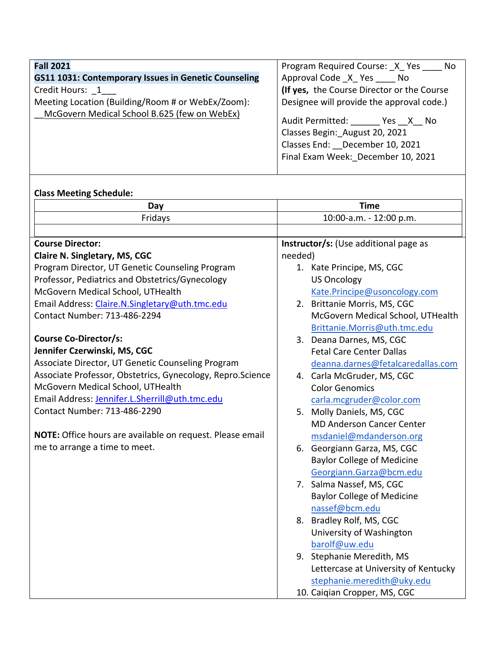| <b>Fall 2021</b>                                     | Program Required Course: X Yes No                                                                                                   |
|------------------------------------------------------|-------------------------------------------------------------------------------------------------------------------------------------|
| GS11 1031: Contemporary Issues in Genetic Counseling | Approval Code X Yes No                                                                                                              |
| Credit Hours: 1                                      | (If yes, the Course Director or the Course                                                                                          |
| Meeting Location (Building/Room # or WebEx/Zoom):    | Designee will provide the approval code.)                                                                                           |
| McGovern Medical School B.625 (few on WebEx)         | Audit Permitted: Yes X No<br>Classes Begin: August 20, 2021<br>Classes End: December 10, 2021<br>Final Exam Week: December 10, 2021 |

H.

#### **Class Meeting Schedule:**

| Day                                                        | <b>Time</b>                           |
|------------------------------------------------------------|---------------------------------------|
| Fridays                                                    | 10:00-a.m. - 12:00 p.m.               |
|                                                            |                                       |
| <b>Course Director:</b>                                    | Instructor/s: (Use additional page as |
| Claire N. Singletary, MS, CGC                              | needed)                               |
| Program Director, UT Genetic Counseling Program            | 1. Kate Principe, MS, CGC             |
| Professor, Pediatrics and Obstetrics/Gynecology            | <b>US Oncology</b>                    |
| McGovern Medical School, UTHealth                          | Kate.Principe@usoncology.com          |
| Email Address: Claire.N.Singletary@uth.tmc.edu             | 2. Brittanie Morris, MS, CGC          |
| Contact Number: 713-486-2294                               | McGovern Medical School, UTHealth     |
|                                                            | Brittanie.Morris@uth.tmc.edu          |
| <b>Course Co-Director/s:</b>                               | 3. Deana Darnes, MS, CGC              |
| Jennifer Czerwinski, MS, CGC                               | <b>Fetal Care Center Dallas</b>       |
| Associate Director, UT Genetic Counseling Program          | deanna.darnes@fetalcaredallas.com     |
| Associate Professor, Obstetrics, Gynecology, Repro.Science | 4. Carla McGruder, MS, CGC            |
| McGovern Medical School, UTHealth                          | <b>Color Genomics</b>                 |
| Email Address: Jennifer.L.Sherrill@uth.tmc.edu             | carla.mcgruder@color.com              |
| Contact Number: 713-486-2290                               | 5. Molly Daniels, MS, CGC             |
|                                                            | <b>MD Anderson Cancer Center</b>      |
| NOTE: Office hours are available on request. Please email  | msdaniel@mdanderson.org               |
| me to arrange a time to meet.                              | 6. Georgiann Garza, MS, CGC           |
|                                                            | <b>Baylor College of Medicine</b>     |
|                                                            | Georgiann.Garza@bcm.edu               |
|                                                            | 7. Salma Nassef, MS, CGC              |
|                                                            | <b>Baylor College of Medicine</b>     |
|                                                            | nassef@bcm.edu                        |
|                                                            | 8. Bradley Rolf, MS, CGC              |
|                                                            | University of Washington              |
|                                                            | barolf@uw.edu                         |
|                                                            | 9. Stephanie Meredith, MS             |
|                                                            | Lettercase at University of Kentucky  |
|                                                            | stephanie.meredith@uky.edu            |
|                                                            | 10. Caiqian Cropper, MS, CGC          |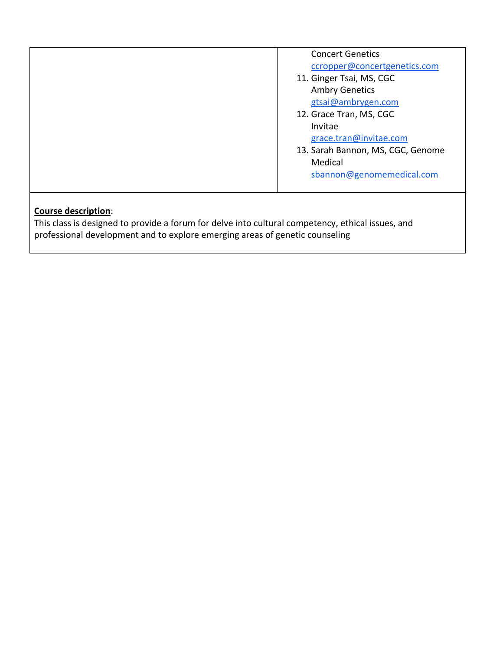| <b>Concert Genetics</b>           |
|-----------------------------------|
| ccropper@concertgenetics.com      |
| 11. Ginger Tsai, MS, CGC          |
| <b>Ambry Genetics</b>             |
| gtsai@ambrygen.com                |
| 12. Grace Tran, MS, CGC           |
| Invitae                           |
| grace.tran@invitae.com            |
| 13. Sarah Bannon, MS, CGC, Genome |
| Medical                           |
| sbannon@genomemedical.com         |
|                                   |
|                                   |

# **Course description**:

This class is designed to provide a forum for delve into cultural competency, ethical issues, and professional development and to explore emerging areas of genetic counseling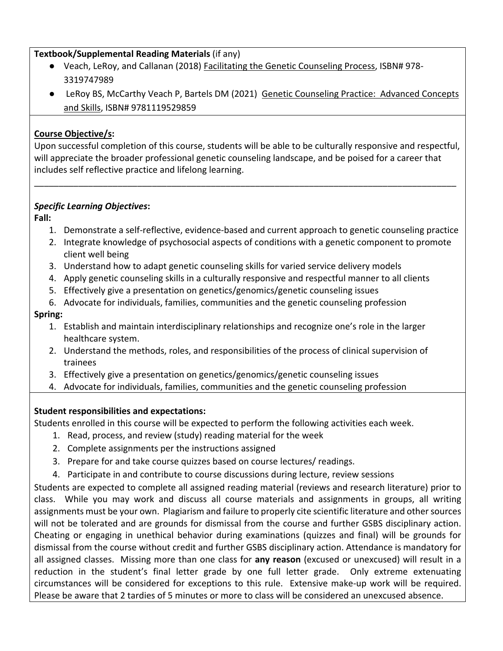#### **Textbook/Supplemental Reading Materials** (if any)

- Veach, LeRoy, and Callanan (2018) Facilitating the Genetic Counseling Process, ISBN# 978- 3319747989
- LeRoy BS, McCarthy Veach P, Bartels DM (2021) Genetic Counseling Practice: Advanced Concepts and Skills, ISBN# 9781119529859

# **Course Objective/s:**

Upon successful completion of this course, students will be able to be culturally responsive and respectful, will appreciate the broader professional genetic counseling landscape, and be poised for a career that includes self reflective practice and lifelong learning.

\_\_\_\_\_\_\_\_\_\_\_\_\_\_\_\_\_\_\_\_\_\_\_\_\_\_\_\_\_\_\_\_\_\_\_\_\_\_\_\_\_\_\_\_\_\_\_\_\_\_\_\_\_\_\_\_\_\_\_\_\_\_\_\_\_\_\_\_\_\_\_\_\_\_\_\_\_\_\_\_\_\_\_\_\_\_

# *Specific Learning Objectives***:**

**Fall:**

- 1. Demonstrate a self-reflective, evidence-based and current approach to genetic counseling practice
- 2. Integrate knowledge of psychosocial aspects of conditions with a genetic component to promote client well being
- 3. Understand how to adapt genetic counseling skills for varied service delivery models
- 4. Apply genetic counseling skills in a culturally responsive and respectful manner to all clients
- 5. Effectively give a presentation on genetics/genomics/genetic counseling issues
- 6. Advocate for individuals, families, communities and the genetic counseling profession

# **Spring:**

- 1. Establish and maintain interdisciplinary relationships and recognize one's role in the larger healthcare system.
- 2. Understand the methods, roles, and responsibilities of the process of clinical supervision of trainees
- 3. Effectively give a presentation on genetics/genomics/genetic counseling issues
- 4. Advocate for individuals, families, communities and the genetic counseling profession

#### **Student responsibilities and expectations:**

Students enrolled in this course will be expected to perform the following activities each week.

- 1. Read, process, and review (study) reading material for the week
- 2. Complete assignments per the instructions assigned
- 3. Prepare for and take course quizzes based on course lectures/ readings.
- 4. Participate in and contribute to course discussions during lecture, review sessions

Students are expected to complete all assigned reading material (reviews and research literature) prior to class. While you may work and discuss all course materials and assignments in groups, all writing assignments must be your own. Plagiarism and failure to properly cite scientific literature and other sources will not be tolerated and are grounds for dismissal from the course and further GSBS disciplinary action. Cheating or engaging in unethical behavior during examinations (quizzes and final) will be grounds for dismissal from the course without credit and further GSBS disciplinary action. Attendance is mandatory for all assigned classes. Missing more than one class for **any reason** (excused or unexcused) will result in a reduction in the student's final letter grade by one full letter grade. Only extreme extenuating circumstances will be considered for exceptions to this rule. Extensive make-up work will be required. Please be aware that 2 tardies of 5 minutes or more to class will be considered an unexcused absence.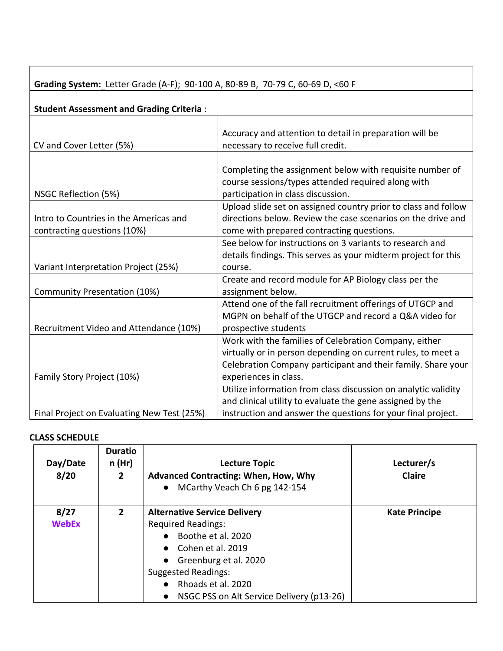| Grading System: Letter Grade (A-F); 90-100 A, 80-89 B, 70-79 C, 60-69 D, <60 F |                                                                                                                                                                                       |
|--------------------------------------------------------------------------------|---------------------------------------------------------------------------------------------------------------------------------------------------------------------------------------|
| <b>Student Assessment and Grading Criteria:</b>                                |                                                                                                                                                                                       |
|                                                                                |                                                                                                                                                                                       |
| CV and Cover Letter (5%)                                                       | Accuracy and attention to detail in preparation will be<br>necessary to receive full credit.                                                                                          |
| NSGC Reflection (5%)                                                           | Completing the assignment below with requisite number of<br>course sessions/types attended required along with<br>participation in class discussion.                                  |
| Intro to Countries in the Americas and<br>contracting questions (10%)          | Upload slide set on assigned country prior to class and follow<br>directions below. Review the case scenarios on the drive and<br>come with prepared contracting questions.           |
| Variant Interpretation Project (25%)                                           | See below for instructions on 3 variants to research and<br>details findings. This serves as your midterm project for this<br>course.                                                 |
| Community Presentation (10%)                                                   | Create and record module for AP Biology class per the<br>assignment below.                                                                                                            |
| Recruitment Video and Attendance (10%)                                         | Attend one of the fall recruitment offerings of UTGCP and<br>MGPN on behalf of the UTGCP and record a Q&A video for<br>prospective students                                           |
|                                                                                | Work with the families of Celebration Company, either<br>virtually or in person depending on current rules, to meet a<br>Celebration Company participant and their family. Share your |
| Family Story Project (10%)                                                     | experiences in class.<br>Utilize information from class discussion on analytic validity<br>and clinical utility to evaluate the gene assigned by the                                  |
| Final Project on Evaluating New Test (25%)                                     | instruction and answer the questions for your final project.                                                                                                                          |

# **CLASS SCHEDULE**

|              | <b>Duratio</b> |                                                        |                      |
|--------------|----------------|--------------------------------------------------------|----------------------|
| Day/Date     | n(Hr)          | <b>Lecture Topic</b>                                   | Lecturer/s           |
| 8/20         | $\mathbf{2}$   | <b>Advanced Contracting: When, How, Why</b>            | <b>Claire</b>        |
|              |                | MCarthy Veach Ch 6 pg 142-154<br>$\bullet$             |                      |
| 8/27         | $\overline{2}$ | <b>Alternative Service Delivery</b>                    | <b>Kate Principe</b> |
| <b>WebEx</b> |                | <b>Required Readings:</b>                              |                      |
|              |                | Boothe et al. 2020                                     |                      |
|              |                | • Cohen et al. 2019                                    |                      |
|              |                | Greenburg et al. 2020                                  |                      |
|              |                | <b>Suggested Readings:</b>                             |                      |
|              |                | Rhoads et al. 2020                                     |                      |
|              |                | NSGC PSS on Alt Service Delivery (p13-26)<br>$\bullet$ |                      |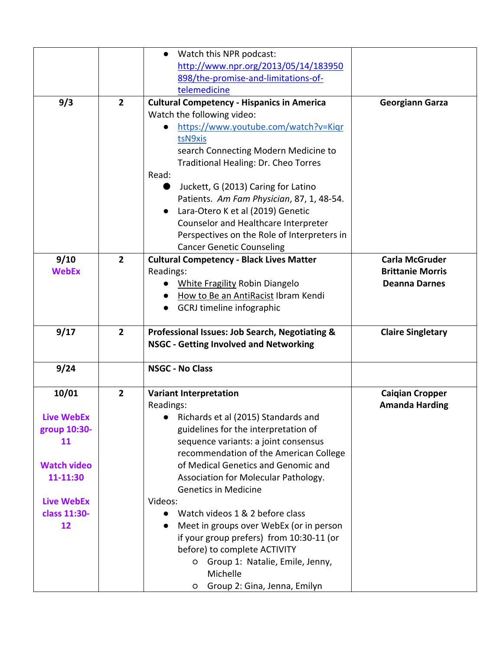|                    |                | Watch this NPR podcast:<br>$\bullet$              |                          |
|--------------------|----------------|---------------------------------------------------|--------------------------|
|                    |                | http://www.npr.org/2013/05/14/183950              |                          |
|                    |                | 898/the-promise-and-limitations-of-               |                          |
|                    |                | telemedicine                                      |                          |
| 9/3                | $\mathbf{2}$   | <b>Cultural Competency - Hispanics in America</b> | <b>Georgiann Garza</b>   |
|                    |                | Watch the following video:                        |                          |
|                    |                | https://www.youtube.com/watch?v=Kigr              |                          |
|                    |                | tsN9xis                                           |                          |
|                    |                | search Connecting Modern Medicine to              |                          |
|                    |                |                                                   |                          |
|                    |                | Traditional Healing: Dr. Cheo Torres              |                          |
|                    |                | Read:                                             |                          |
|                    |                | Juckett, G (2013) Caring for Latino               |                          |
|                    |                | Patients. Am Fam Physician, 87, 1, 48-54.         |                          |
|                    |                | Lara-Otero K et al (2019) Genetic<br>$\bullet$    |                          |
|                    |                | Counselor and Healthcare Interpreter              |                          |
|                    |                | Perspectives on the Role of Interpreters in       |                          |
|                    |                | <b>Cancer Genetic Counseling</b>                  |                          |
| 9/10               | $\overline{2}$ | <b>Cultural Competency - Black Lives Matter</b>   | <b>Carla McGruder</b>    |
| <b>WebEx</b>       |                | Readings:                                         | <b>Brittanie Morris</b>  |
|                    |                | <b>White Fragility Robin Diangelo</b>             | <b>Deanna Darnes</b>     |
|                    |                | How to Be an AntiRacist Ibram Kendi               |                          |
|                    |                | GCRJ timeline infographic                         |                          |
|                    |                |                                                   |                          |
| 9/17               | $\overline{2}$ | Professional Issues: Job Search, Negotiating &    | <b>Claire Singletary</b> |
|                    |                | <b>NSGC - Getting Involved and Networking</b>     |                          |
|                    |                |                                                   |                          |
| 9/24               |                | <b>NSGC - No Class</b>                            |                          |
| 10/01              | $\overline{2}$ | <b>Variant Interpretation</b>                     | <b>Caiqian Cropper</b>   |
|                    |                | Readings:                                         | <b>Amanda Harding</b>    |
| <b>Live WebEx</b>  |                | Richards et al (2015) Standards and               |                          |
| group 10:30-       |                | guidelines for the interpretation of              |                          |
| 11                 |                | sequence variants: a joint consensus              |                          |
|                    |                | recommendation of the American College            |                          |
| <b>Watch video</b> |                | of Medical Genetics and Genomic and               |                          |
| 11-11:30           |                | Association for Molecular Pathology.              |                          |
|                    |                | <b>Genetics in Medicine</b>                       |                          |
|                    |                |                                                   |                          |
| <b>Live WebEx</b>  |                | Videos:                                           |                          |
| class 11:30-       |                | Watch videos 1 & 2 before class<br>$\bullet$      |                          |
| 12                 |                | Meet in groups over WebEx (or in person           |                          |
|                    |                | if your group prefers) from 10:30-11 (or          |                          |
|                    |                | before) to complete ACTIVITY                      |                          |
|                    |                | O Group 1: Natalie, Emile, Jenny,                 |                          |
|                    |                | Michelle                                          |                          |
|                    |                | Group 2: Gina, Jenna, Emilyn<br>$\circ$           |                          |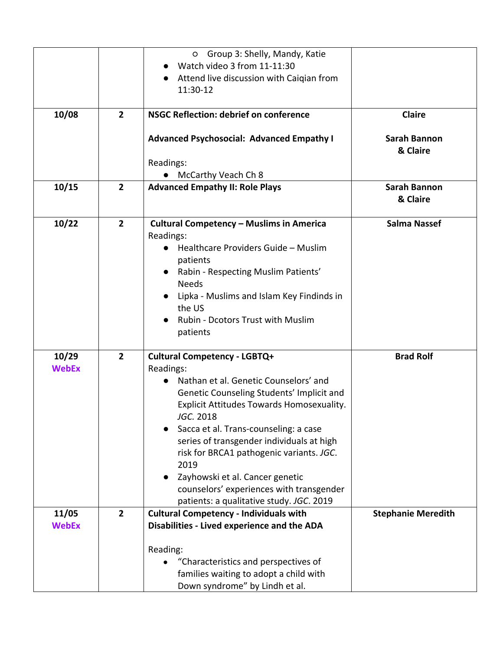|              |                | O Group 3: Shelly, Mandy, Katie                  |                                 |
|--------------|----------------|--------------------------------------------------|---------------------------------|
|              |                | Watch video 3 from 11-11:30                      |                                 |
|              |                | Attend live discussion with Caiqian from         |                                 |
|              |                | 11:30-12                                         |                                 |
|              |                |                                                  |                                 |
| 10/08        | $\overline{2}$ | <b>NSGC Reflection: debrief on conference</b>    | <b>Claire</b>                   |
|              |                | <b>Advanced Psychosocial: Advanced Empathy I</b> | <b>Sarah Bannon</b><br>& Claire |
|              |                | Readings:                                        |                                 |
|              |                | McCarthy Veach Ch 8                              |                                 |
| 10/15        | $\overline{2}$ | <b>Advanced Empathy II: Role Plays</b>           | <b>Sarah Bannon</b><br>& Claire |
| 10/22        | $\overline{2}$ | <b>Cultural Competency - Muslims in America</b>  | <b>Salma Nassef</b>             |
|              |                | Readings:                                        |                                 |
|              |                | Healthcare Providers Guide - Muslim<br>patients  |                                 |
|              |                | Rabin - Respecting Muslim Patients'<br>$\bullet$ |                                 |
|              |                | <b>Needs</b>                                     |                                 |
|              |                | Lipka - Muslims and Islam Key Findinds in        |                                 |
|              |                | the US                                           |                                 |
|              |                | Rubin - Dcotors Trust with Muslim                |                                 |
|              |                | patients                                         |                                 |
| 10/29        | $\overline{2}$ | <b>Cultural Competency - LGBTQ+</b>              | <b>Brad Rolf</b>                |
| <b>WebEx</b> |                | Readings:                                        |                                 |
|              |                | Nathan et al. Genetic Counselors' and            |                                 |
|              |                | Genetic Counseling Students' Implicit and        |                                 |
|              |                | Explicit Attitudes Towards Homosexuality.        |                                 |
|              |                | JGC. 2018                                        |                                 |
|              |                | Sacca et al. Trans-counseling: a case            |                                 |
|              |                | series of transgender individuals at high        |                                 |
|              |                | risk for BRCA1 pathogenic variants. JGC.         |                                 |
|              |                | 2019                                             |                                 |
|              |                | Zayhowski et al. Cancer genetic<br>$\bullet$     |                                 |
|              |                | counselors' experiences with transgender         |                                 |
|              |                | patients: a qualitative study. JGC. 2019         |                                 |
| 11/05        | $\overline{2}$ | <b>Cultural Competency - Individuals with</b>    | <b>Stephanie Meredith</b>       |
| <b>WebEx</b> |                | Disabilities - Lived experience and the ADA      |                                 |
|              |                | Reading:                                         |                                 |
|              |                |                                                  |                                 |
|              |                | "Characteristics and perspectives of             |                                 |
|              |                | families waiting to adopt a child with           |                                 |
|              |                | Down syndrome" by Lindh et al.                   |                                 |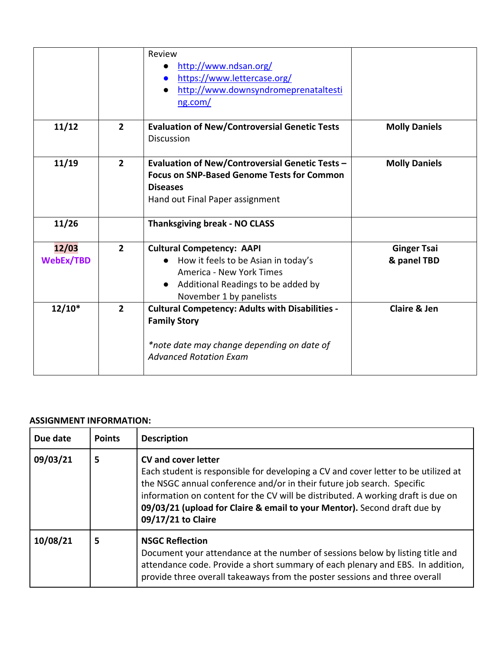|                           |                | Review<br>http://www.ndsan.org/<br>$\bullet$<br>https://www.lettercase.org/<br>$\bullet$<br>http://www.downsyndromeprenataltesti<br>$\bullet$<br>ng.com/                          |                                   |
|---------------------------|----------------|-----------------------------------------------------------------------------------------------------------------------------------------------------------------------------------|-----------------------------------|
| 11/12                     | $\overline{2}$ | <b>Evaluation of New/Controversial Genetic Tests</b><br><b>Discussion</b>                                                                                                         | <b>Molly Daniels</b>              |
| 11/19                     | $\overline{2}$ | <b>Evaluation of New/Controversial Genetic Tests -</b><br><b>Focus on SNP-Based Genome Tests for Common</b><br><b>Diseases</b><br>Hand out Final Paper assignment                 | <b>Molly Daniels</b>              |
| 11/26                     |                | <b>Thanksgiving break - NO CLASS</b>                                                                                                                                              |                                   |
| 12/03<br><b>WebEx/TBD</b> | $\overline{2}$ | <b>Cultural Competency: AAPI</b><br>How it feels to be Asian in today's<br>America - New York Times<br>Additional Readings to be added by<br>$\bullet$<br>November 1 by panelists | <b>Ginger Tsai</b><br>& panel TBD |
| $12/10*$                  | $\overline{2}$ | <b>Cultural Competency: Adults with Disabilities -</b><br><b>Family Story</b><br>*note date may change depending on date of<br><b>Advanced Rotation Exam</b>                      | <b>Claire &amp; Jen</b>           |

#### **ASSIGNMENT INFORMATION:**

| Due date | <b>Points</b> | <b>Description</b>                                                                                                                                                                                                                                                                                                                                                               |
|----------|---------------|----------------------------------------------------------------------------------------------------------------------------------------------------------------------------------------------------------------------------------------------------------------------------------------------------------------------------------------------------------------------------------|
| 09/03/21 | 5             | <b>CV and cover letter</b><br>Each student is responsible for developing a CV and cover letter to be utilized at<br>the NSGC annual conference and/or in their future job search. Specific<br>information on content for the CV will be distributed. A working draft is due on<br>09/03/21 (upload for Claire & email to your Mentor). Second draft due by<br>09/17/21 to Claire |
| 10/08/21 | 5             | <b>NSGC Reflection</b><br>Document your attendance at the number of sessions below by listing title and<br>attendance code. Provide a short summary of each plenary and EBS. In addition,<br>provide three overall takeaways from the poster sessions and three overall                                                                                                          |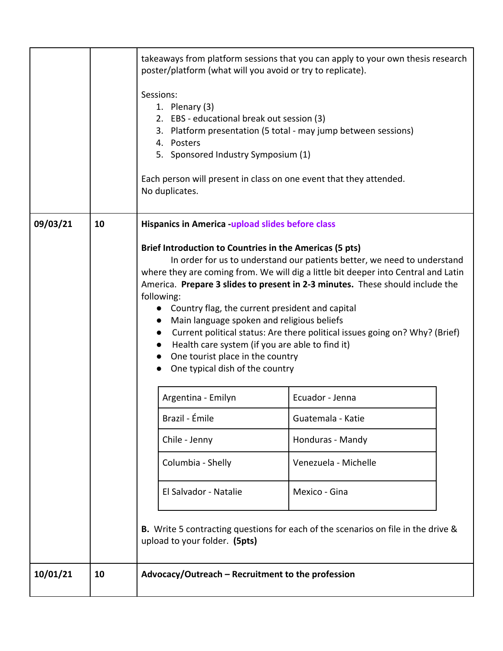|          |    | poster/platform (what will you avoid or try to replicate).                                                                                                                                                                                                                                                      | takeaways from platform sessions that you can apply to your own thesis research                                                                                                                                                                                                                                                |
|----------|----|-----------------------------------------------------------------------------------------------------------------------------------------------------------------------------------------------------------------------------------------------------------------------------------------------------------------|--------------------------------------------------------------------------------------------------------------------------------------------------------------------------------------------------------------------------------------------------------------------------------------------------------------------------------|
|          |    | Sessions:<br>1. Plenary $(3)$<br>2. EBS - educational break out session (3)<br>4. Posters<br>5. Sponsored Industry Symposium (1)<br>Each person will present in class on one event that they attended.<br>No duplicates.                                                                                        | 3. Platform presentation (5 total - may jump between sessions)                                                                                                                                                                                                                                                                 |
| 09/03/21 | 10 | Hispanics in America upload slides before class                                                                                                                                                                                                                                                                 |                                                                                                                                                                                                                                                                                                                                |
|          |    | Brief Introduction to Countries in the Americas (5 pts)<br>following:<br>• Country flag, the current president and capital<br>Main language spoken and religious beliefs<br>$\bullet$<br>Health care system (if you are able to find it)<br>One tourist place in the country<br>One typical dish of the country | In order for us to understand our patients better, we need to understand<br>where they are coming from. We will dig a little bit deeper into Central and Latin<br>America. Prepare 3 slides to present in 2-3 minutes. These should include the<br>Current political status: Are there political issues going on? Why? (Brief) |
|          |    | Argentina - Emilyn                                                                                                                                                                                                                                                                                              | Ecuador - Jenna                                                                                                                                                                                                                                                                                                                |
|          |    | Brazil - Émile                                                                                                                                                                                                                                                                                                  | Guatemala - Katie                                                                                                                                                                                                                                                                                                              |
|          |    | Chile - Jenny                                                                                                                                                                                                                                                                                                   | Honduras - Mandy                                                                                                                                                                                                                                                                                                               |
|          |    | Columbia - Shelly                                                                                                                                                                                                                                                                                               | Venezuela - Michelle                                                                                                                                                                                                                                                                                                           |
|          |    | El Salvador - Natalie                                                                                                                                                                                                                                                                                           | Mexico - Gina                                                                                                                                                                                                                                                                                                                  |
|          |    | upload to your folder. (5pts)                                                                                                                                                                                                                                                                                   | B. Write 5 contracting questions for each of the scenarios on file in the drive &                                                                                                                                                                                                                                              |
| 10/01/21 | 10 | Advocacy/Outreach - Recruitment to the profession                                                                                                                                                                                                                                                               |                                                                                                                                                                                                                                                                                                                                |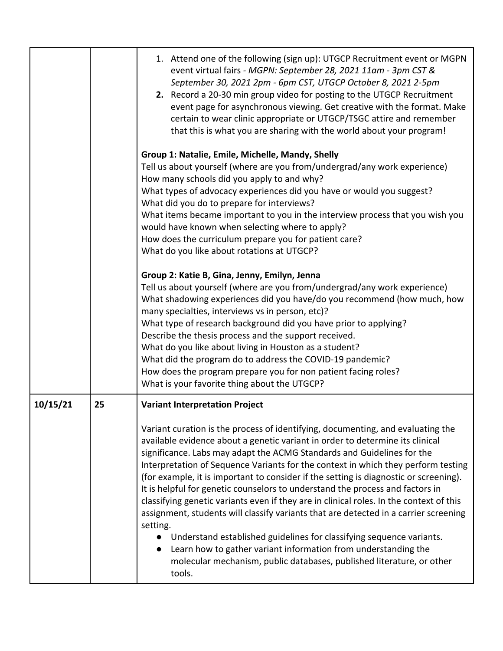|          |    | 1. Attend one of the following (sign up): UTGCP Recruitment event or MGPN<br>event virtual fairs - MGPN: September 28, 2021 11am - 3pm CST &<br>September 30, 2021 2pm - 6pm CST, UTGCP October 8, 2021 2-5pm<br>2. Record a 20-30 min group video for posting to the UTGCP Recruitment<br>event page for asynchronous viewing. Get creative with the format. Make<br>certain to wear clinic appropriate or UTGCP/TSGC attire and remember<br>that this is what you are sharing with the world about your program!<br>Group 1: Natalie, Emile, Michelle, Mandy, Shelly<br>Tell us about yourself (where are you from/undergrad/any work experience)<br>How many schools did you apply to and why?<br>What types of advocacy experiences did you have or would you suggest?<br>What did you do to prepare for interviews?<br>What items became important to you in the interview process that you wish you<br>would have known when selecting where to apply?<br>How does the curriculum prepare you for patient care?<br>What do you like about rotations at UTGCP?<br>Group 2: Katie B, Gina, Jenny, Emilyn, Jenna<br>Tell us about yourself (where are you from/undergrad/any work experience)<br>What shadowing experiences did you have/do you recommend (how much, how<br>many specialties, interviews vs in person, etc)?<br>What type of research background did you have prior to applying?<br>Describe the thesis process and the support received.<br>What do you like about living in Houston as a student?<br>What did the program do to address the COVID-19 pandemic?<br>How does the program prepare you for non patient facing roles? |
|----------|----|-------------------------------------------------------------------------------------------------------------------------------------------------------------------------------------------------------------------------------------------------------------------------------------------------------------------------------------------------------------------------------------------------------------------------------------------------------------------------------------------------------------------------------------------------------------------------------------------------------------------------------------------------------------------------------------------------------------------------------------------------------------------------------------------------------------------------------------------------------------------------------------------------------------------------------------------------------------------------------------------------------------------------------------------------------------------------------------------------------------------------------------------------------------------------------------------------------------------------------------------------------------------------------------------------------------------------------------------------------------------------------------------------------------------------------------------------------------------------------------------------------------------------------------------------------------------------------------------------------------------------------------------------------|
|          |    | What is your favorite thing about the UTGCP?                                                                                                                                                                                                                                                                                                                                                                                                                                                                                                                                                                                                                                                                                                                                                                                                                                                                                                                                                                                                                                                                                                                                                                                                                                                                                                                                                                                                                                                                                                                                                                                                          |
| 10/15/21 | 25 | <b>Variant Interpretation Project</b>                                                                                                                                                                                                                                                                                                                                                                                                                                                                                                                                                                                                                                                                                                                                                                                                                                                                                                                                                                                                                                                                                                                                                                                                                                                                                                                                                                                                                                                                                                                                                                                                                 |
|          |    | Variant curation is the process of identifying, documenting, and evaluating the<br>available evidence about a genetic variant in order to determine its clinical<br>significance. Labs may adapt the ACMG Standards and Guidelines for the<br>Interpretation of Sequence Variants for the context in which they perform testing<br>(for example, it is important to consider if the setting is diagnostic or screening).<br>It is helpful for genetic counselors to understand the process and factors in<br>classifying genetic variants even if they are in clinical roles. In the context of this<br>assignment, students will classify variants that are detected in a carrier screening<br>setting.<br>Understand established guidelines for classifying sequence variants.<br>Learn how to gather variant information from understanding the<br>molecular mechanism, public databases, published literature, or other<br>tools.                                                                                                                                                                                                                                                                                                                                                                                                                                                                                                                                                                                                                                                                                                                 |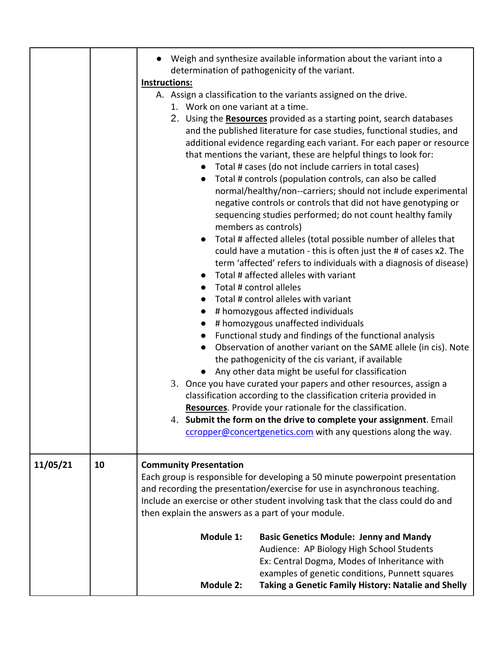|          |    | Weigh and synthesize available information about the variant into a<br>determination of pathogenicity of the variant.<br>Instructions:<br>A. Assign a classification to the variants assigned on the drive.<br>1. Work on one variant at a time.<br>2. Using the <b>Resources</b> provided as a starting point, search databases<br>and the published literature for case studies, functional studies, and<br>additional evidence regarding each variant. For each paper or resource<br>that mentions the variant, these are helpful things to look for:<br>• Total # cases (do not include carriers in total cases)<br>Total # controls (population controls, can also be called<br>normal/healthy/non--carriers; should not include experimental<br>negative controls or controls that did not have genotyping or<br>sequencing studies performed; do not count healthy family<br>members as controls)<br>Total # affected alleles (total possible number of alleles that<br>could have a mutation - this is often just the # of cases x2. The<br>term 'affected' refers to individuals with a diagnosis of disease)<br>Total # affected alleles with variant<br>Total # control alleles<br>Total # control alleles with variant<br># homozygous affected individuals<br># homozygous unaffected individuals<br>$\bullet$<br>Functional study and findings of the functional analysis<br>Observation of another variant on the SAME allele (in cis). Note<br>$\bullet$<br>the pathogenicity of the cis variant, if available<br>• Any other data might be useful for classification<br>3. Once you have curated your papers and other resources, assign a<br>classification according to the classification criteria provided in<br>Resources. Provide your rationale for the classification.<br>4. Submit the form on the drive to complete your assignment. Email<br>ccropper@concertgenetics.com with any questions along the way. |
|----------|----|-----------------------------------------------------------------------------------------------------------------------------------------------------------------------------------------------------------------------------------------------------------------------------------------------------------------------------------------------------------------------------------------------------------------------------------------------------------------------------------------------------------------------------------------------------------------------------------------------------------------------------------------------------------------------------------------------------------------------------------------------------------------------------------------------------------------------------------------------------------------------------------------------------------------------------------------------------------------------------------------------------------------------------------------------------------------------------------------------------------------------------------------------------------------------------------------------------------------------------------------------------------------------------------------------------------------------------------------------------------------------------------------------------------------------------------------------------------------------------------------------------------------------------------------------------------------------------------------------------------------------------------------------------------------------------------------------------------------------------------------------------------------------------------------------------------------------------------------------------------------------------------------------------------------------------------------|
| 11/05/21 | 10 | <b>Community Presentation</b><br>Each group is responsible for developing a 50 minute powerpoint presentation<br>and recording the presentation/exercise for use in asynchronous teaching.<br>Include an exercise or other student involving task that the class could do and<br>then explain the answers as a part of your module.<br>Module 1:<br><b>Basic Genetics Module: Jenny and Mandy</b><br>Audience: AP Biology High School Students<br>Ex: Central Dogma, Modes of Inheritance with<br>examples of genetic conditions, Punnett squares<br><b>Module 2:</b><br>Taking a Genetic Family History: Natalie and Shelly                                                                                                                                                                                                                                                                                                                                                                                                                                                                                                                                                                                                                                                                                                                                                                                                                                                                                                                                                                                                                                                                                                                                                                                                                                                                                                            |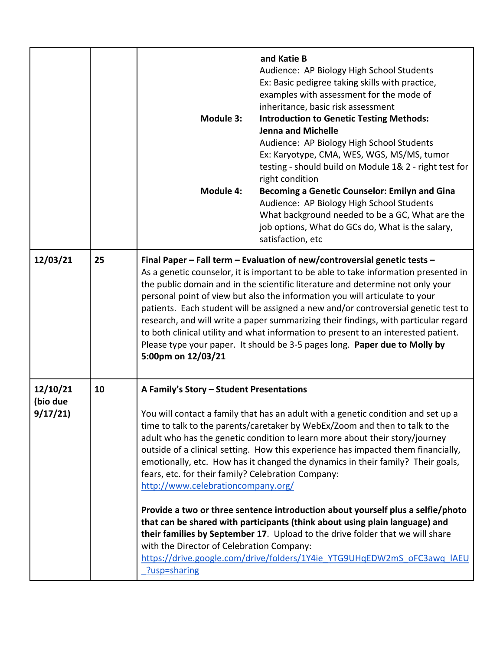|                                 |    | Module 3:<br><b>Module 4:</b>                                                                                                                                                                                                                                                                                                                                                                                                                                                                                                                                                                                                                                                                                                                                                                                                                                                                                                                              | and Katie B<br>Audience: AP Biology High School Students<br>Ex: Basic pedigree taking skills with practice,<br>examples with assessment for the mode of<br>inheritance, basic risk assessment<br><b>Introduction to Genetic Testing Methods:</b><br><b>Jenna and Michelle</b><br>Audience: AP Biology High School Students<br>Ex: Karyotype, CMA, WES, WGS, MS/MS, tumor<br>testing - should build on Module 1& 2 - right test for<br>right condition<br><b>Becoming a Genetic Counselor: Emilyn and Gina</b><br>Audience: AP Biology High School Students<br>What background needed to be a GC, What are the<br>job options, What do GCs do, What is the salary,<br>satisfaction, etc |
|---------------------------------|----|------------------------------------------------------------------------------------------------------------------------------------------------------------------------------------------------------------------------------------------------------------------------------------------------------------------------------------------------------------------------------------------------------------------------------------------------------------------------------------------------------------------------------------------------------------------------------------------------------------------------------------------------------------------------------------------------------------------------------------------------------------------------------------------------------------------------------------------------------------------------------------------------------------------------------------------------------------|----------------------------------------------------------------------------------------------------------------------------------------------------------------------------------------------------------------------------------------------------------------------------------------------------------------------------------------------------------------------------------------------------------------------------------------------------------------------------------------------------------------------------------------------------------------------------------------------------------------------------------------------------------------------------------------|
| 12/03/21                        | 25 | Final Paper - Fall term - Evaluation of new/controversial genetic tests -<br>As a genetic counselor, it is important to be able to take information presented in<br>the public domain and in the scientific literature and determine not only your<br>personal point of view but also the information you will articulate to your<br>patients. Each student will be assigned a new and/or controversial genetic test to<br>research, and will write a paper summarizing their findings, with particular regard<br>to both clinical utility and what information to present to an interested patient.<br>Please type your paper. It should be 3-5 pages long. Paper due to Molly by<br>5:00pm on 12/03/21                                                                                                                                                                                                                                                   |                                                                                                                                                                                                                                                                                                                                                                                                                                                                                                                                                                                                                                                                                        |
| 12/10/21<br>(bio due<br>9/17/21 | 10 | A Family's Story - Student Presentations<br>You will contact a family that has an adult with a genetic condition and set up a<br>time to talk to the parents/caretaker by WebEx/Zoom and then to talk to the<br>adult who has the genetic condition to learn more about their story/journey<br>outside of a clinical setting. How this experience has impacted them financially,<br>emotionally, etc. How has it changed the dynamics in their family? Their goals,<br>fears, etc. for their family? Celebration Company:<br>http://www.celebrationcompany.org/<br>Provide a two or three sentence introduction about yourself plus a selfie/photo<br>that can be shared with participants (think about using plain language) and<br>their families by September 17. Upload to the drive folder that we will share<br>with the Director of Celebration Company:<br>https://drive.google.com/drive/folders/1Y4ie YTG9UHqEDW2mS oFC3awq IAEU<br>?usp=sharing |                                                                                                                                                                                                                                                                                                                                                                                                                                                                                                                                                                                                                                                                                        |